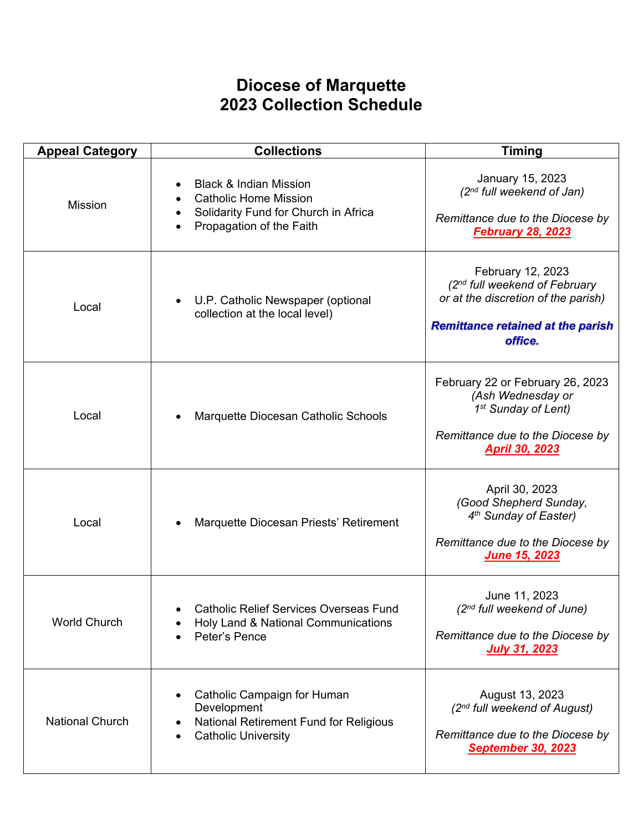## **Diocese of Marquette 2023 Collection Schedule**

| <b>Appeal Category</b> | <b>Collections</b>                                                                                                                                                                        | <b>Timing</b>                                                                                                                                                |
|------------------------|-------------------------------------------------------------------------------------------------------------------------------------------------------------------------------------------|--------------------------------------------------------------------------------------------------------------------------------------------------------------|
| <b>Mission</b>         | <b>Black &amp; Indian Mission</b><br>$\bullet$<br><b>Catholic Home Mission</b><br>$\bullet$<br>Solidarity Fund for Church in Africa<br>$\bullet$<br>Propagation of the Faith<br>$\bullet$ | January 15, 2023<br>(2 <sup>nd</sup> full weekend of Jan)<br>Remittance due to the Diocese by<br><b>February 28, 2023</b>                                    |
| Local                  | U.P. Catholic Newspaper (optional<br>$\bullet$<br>collection at the local level)                                                                                                          | February 12, 2023<br>(2 <sup>nd</sup> full weekend of February<br>or at the discretion of the parish)<br><b>Remittance retained at the parish</b><br>office. |
| Local                  | Marquette Diocesan Catholic Schools                                                                                                                                                       | February 22 or February 26, 2023<br>(Ash Wednesday or<br>1 <sup>st</sup> Sunday of Lent)<br>Remittance due to the Diocese by<br><b>April 30, 2023</b>        |
| Local                  | Marquette Diocesan Priests' Retirement                                                                                                                                                    | April 30, 2023<br>(Good Shepherd Sunday,<br>4 <sup>th</sup> Sunday of Easter)<br>Remittance due to the Diocese by<br>June 15, 2023                           |
| <b>World Church</b>    | <b>Catholic Relief Services Overseas Fund</b><br>Holy Land & National Communications<br>Peter's Pence                                                                                     | June 11, 2023<br>(2 <sup>nd</sup> full weekend of June)<br>Remittance due to the Diocese by<br><b>July 31, 2023</b>                                          |
| <b>National Church</b> | Catholic Campaign for Human<br>$\bullet$<br>Development<br><b>National Retirement Fund for Religious</b><br><b>Catholic University</b>                                                    | August 13, 2023<br>(2 <sup>nd</sup> full weekend of August)<br>Remittance due to the Diocese by<br><b>September 30, 2023</b>                                 |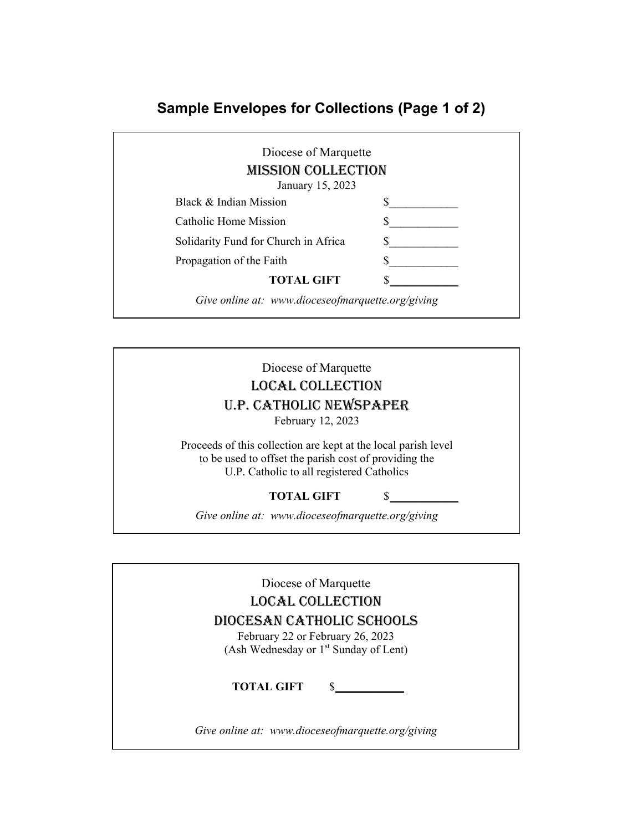## **Sample Envelopes for Collections (Page 1 of 2)**

| Diocese of Marquette<br><b>MISSION COLLECTION</b><br>January 15, 2023 |  |
|-----------------------------------------------------------------------|--|
| Black & Indian Mission                                                |  |
| Catholic Home Mission                                                 |  |
| Solidarity Fund for Church in Africa                                  |  |
| Propagation of the Faith                                              |  |
| <b>TOTAL GIFT</b>                                                     |  |

Diocese of Marquette LOCAL COLLECTION U.P. CATHOLIC NEWSPAPER February 12, 2023

Proceeds of this collection are kept at the local parish level to be used to offset the parish cost of providing the U.P. Catholic to all registered Catholics

## TOTAL GIFT \$

*Give online at: www.dioceseofmarquette.org/giving* 

Diocese of Marquette LOCAL COLLECTION DIOCESAN CATHOLIC SCHOOLS February 22 or February 26, 2023 (Ash Wednesday or 1<sup>st</sup> Sunday of Lent) **TOTAL GIFT \bigcalleration** *Give online at: www.dioceseofmarquette.org/giving*